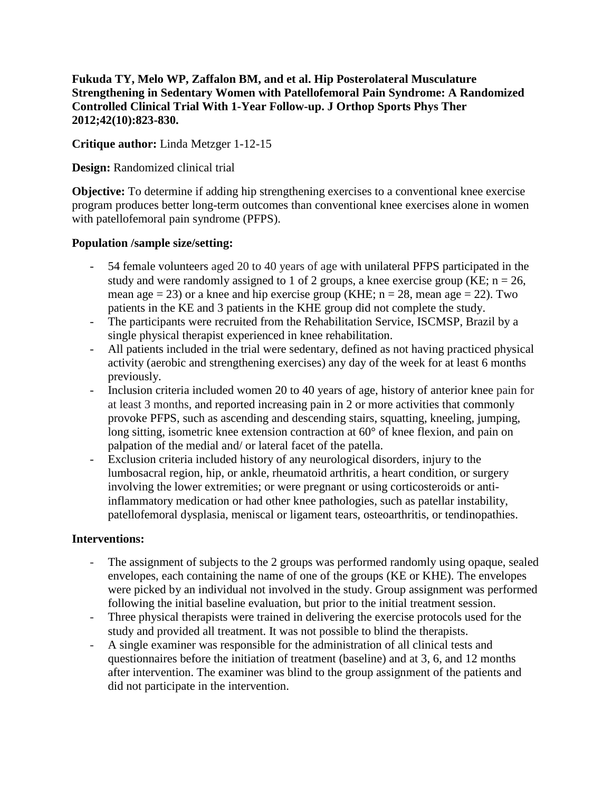**Fukuda TY, Melo WP, Zaffalon BM, and et al. Hip Posterolateral Musculature Strengthening in Sedentary Women with Patellofemoral Pain Syndrome: A Randomized Controlled Clinical Trial With 1-Year Follow-up. J Orthop Sports Phys Ther 2012;42(10):823-830.**

**Critique author:** Linda Metzger 1-12-15

**Design:** Randomized clinical trial

**Objective:** To determine if adding hip strengthening exercises to a conventional knee exercise program produces better long-term outcomes than conventional knee exercises alone in women with patellofemoral pain syndrome (PFPS).

#### **Population /sample size/setting:**

- 54 female volunteers aged 20 to 40 years of age with unilateral PFPS participated in the study and were randomly assigned to 1 of 2 groups, a knee exercise group (KE;  $n = 26$ , mean age  $= 23$ ) or a knee and hip exercise group (KHE;  $n = 28$ , mean age  $= 22$ ). Two patients in the KE and 3 patients in the KHE group did not complete the study.
- The participants were recruited from the Rehabilitation Service, ISCMSP, Brazil by a single physical therapist experienced in knee rehabilitation.
- All patients included in the trial were sedentary, defined as not having practiced physical activity (aerobic and strengthening exercises) any day of the week for at least 6 months previously.
- Inclusion criteria included women 20 to 40 years of age, history of anterior knee pain for at least 3 months, and reported increasing pain in 2 or more activities that commonly provoke PFPS, such as ascending and descending stairs, squatting, kneeling, jumping, long sitting, isometric knee extension contraction at 60° of knee flexion, and pain on palpation of the medial and/ or lateral facet of the patella.
- Exclusion criteria included history of any neurological disorders, injury to the lumbosacral region, hip, or ankle, rheumatoid arthritis, a heart condition, or surgery involving the lower extremities; or were pregnant or using corticosteroids or antiinflammatory medication or had other knee pathologies, such as patellar instability, patellofemoral dysplasia, meniscal or ligament tears, osteoarthritis, or tendinopathies.

## **Interventions:**

- The assignment of subjects to the 2 groups was performed randomly using opaque, sealed envelopes, each containing the name of one of the groups (KE or KHE). The envelopes were picked by an individual not involved in the study. Group assignment was performed following the initial baseline evaluation, but prior to the initial treatment session.
- Three physical therapists were trained in delivering the exercise protocols used for the study and provided all treatment. It was not possible to blind the therapists.
- A single examiner was responsible for the administration of all clinical tests and questionnaires before the initiation of treatment (baseline) and at 3, 6, and 12 months after intervention. The examiner was blind to the group assignment of the patients and did not participate in the intervention.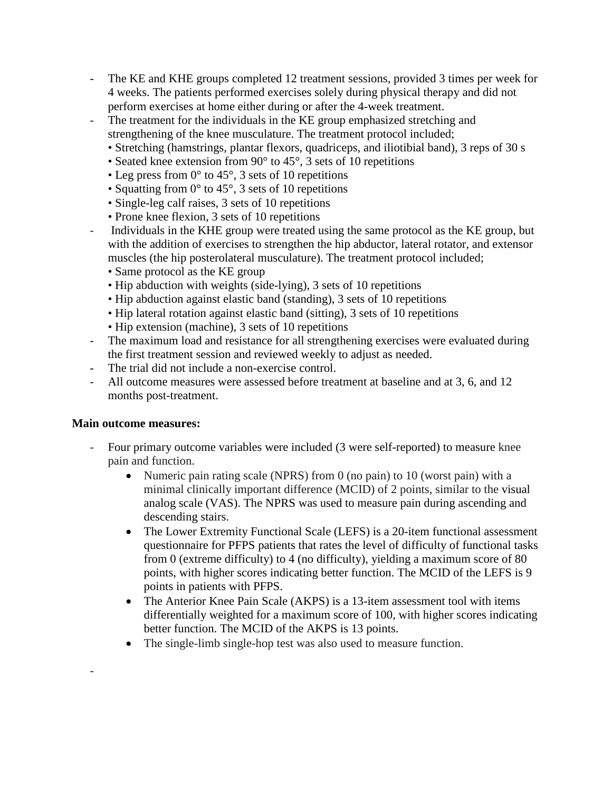- The KE and KHE groups completed 12 treatment sessions, provided 3 times per week for 4 weeks. The patients performed exercises solely during physical therapy and did not perform exercises at home either during or after the 4-week treatment.
- The treatment for the individuals in the KE group emphasized stretching and strengthening of the knee musculature. The treatment protocol included;
	- Stretching (hamstrings, plantar flexors, quadriceps, and iliotibial band), 3 reps of 30 s
	- Seated knee extension from 90 $\degree$  to 45 $\degree$ , 3 sets of 10 repetitions
	- Leg press from  $0^\circ$  to 45°, 3 sets of 10 repetitions
	- Squatting from  $0^{\circ}$  to 45°, 3 sets of 10 repetitions
	- Single-leg calf raises, 3 sets of 10 repetitions
	- Prone knee flexion, 3 sets of 10 repetitions
- Individuals in the KHE group were treated using the same protocol as the KE group, but with the addition of exercises to strengthen the hip abductor, lateral rotator, and extensor muscles (the hip posterolateral musculature). The treatment protocol included;
	- Same protocol as the KE group
	- Hip abduction with weights (side-lying), 3 sets of 10 repetitions
	- Hip abduction against elastic band (standing), 3 sets of 10 repetitions
	- Hip lateral rotation against elastic band (sitting), 3 sets of 10 repetitions
	- Hip extension (machine), 3 sets of 10 repetitions
- The maximum load and resistance for all strengthening exercises were evaluated during the first treatment session and reviewed weekly to adjust as needed.
- The trial did not include a non-exercise control.
- All outcome measures were assessed before treatment at baseline and at 3, 6, and 12 months post-treatment.

## **Main outcome measures:**

-

- Four primary outcome variables were included (3 were self-reported) to measure knee pain and function.
	- Numeric pain rating scale (NPRS) from 0 (no pain) to 10 (worst pain) with a minimal clinically important difference (MCID) of 2 points, similar to the visual analog scale (VAS). The NPRS was used to measure pain during ascending and descending stairs.
	- The Lower Extremity Functional Scale (LEFS) is a 20-item functional assessment questionnaire for PFPS patients that rates the level of difficulty of functional tasks from 0 (extreme difficulty) to 4 (no difficulty), yielding a maximum score of 80 points, with higher scores indicating better function. The MCID of the LEFS is 9 points in patients with PFPS.
	- The Anterior Knee Pain Scale (AKPS) is a 13-item assessment tool with items differentially weighted for a maximum score of 100, with higher scores indicating better function. The MCID of the AKPS is 13 points.
	- The single-limb single-hop test was also used to measure function.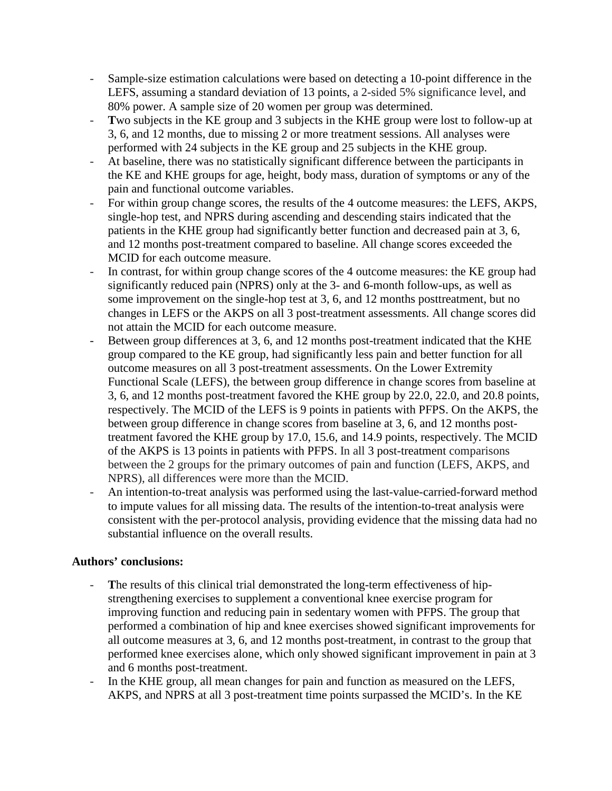- Sample-size estimation calculations were based on detecting a 10-point difference in the LEFS, assuming a standard deviation of 13 points, a 2-sided 5% significance level, and 80% power. A sample size of 20 women per group was determined.
- Two subjects in the KE group and 3 subjects in the KHE group were lost to follow-up at 3, 6, and 12 months, due to missing 2 or more treatment sessions. All analyses were performed with 24 subjects in the KE group and 25 subjects in the KHE group.
- At baseline, there was no statistically significant difference between the participants in the KE and KHE groups for age, height, body mass, duration of symptoms or any of the pain and functional outcome variables.
- For within group change scores, the results of the 4 outcome measures: the LEFS, AKPS, single-hop test, and NPRS during ascending and descending stairs indicated that the patients in the KHE group had significantly better function and decreased pain at 3, 6, and 12 months post-treatment compared to baseline. All change scores exceeded the MCID for each outcome measure.
- In contrast, for within group change scores of the 4 outcome measures: the KE group had significantly reduced pain (NPRS) only at the 3- and 6-month follow-ups, as well as some improvement on the single-hop test at 3, 6, and 12 months posttreatment, but no changes in LEFS or the AKPS on all 3 post-treatment assessments. All change scores did not attain the MCID for each outcome measure.
- Between group differences at 3, 6, and 12 months post-treatment indicated that the KHE group compared to the KE group, had significantly less pain and better function for all outcome measures on all 3 post-treatment assessments. On the Lower Extremity Functional Scale (LEFS), the between group difference in change scores from baseline at 3, 6, and 12 months post-treatment favored the KHE group by 22.0, 22.0, and 20.8 points, respectively. The MCID of the LEFS is 9 points in patients with PFPS. On the AKPS, the between group difference in change scores from baseline at 3, 6, and 12 months posttreatment favored the KHE group by 17.0, 15.6, and 14.9 points, respectively. The MCID of the AKPS is 13 points in patients with PFPS. In all 3 post-treatment comparisons between the 2 groups for the primary outcomes of pain and function (LEFS, AKPS, and NPRS), all differences were more than the MCID.
- An intention-to-treat analysis was performed using the last-value-carried-forward method to impute values for all missing data. The results of the intention-to-treat analysis were consistent with the per-protocol analysis, providing evidence that the missing data had no substantial influence on the overall results.

## **Authors' conclusions:**

- **T**he results of this clinical trial demonstrated the long-term effectiveness of hipstrengthening exercises to supplement a conventional knee exercise program for improving function and reducing pain in sedentary women with PFPS. The group that performed a combination of hip and knee exercises showed significant improvements for all outcome measures at 3, 6, and 12 months post-treatment, in contrast to the group that performed knee exercises alone, which only showed significant improvement in pain at 3 and 6 months post-treatment.
- In the KHE group, all mean changes for pain and function as measured on the LEFS, AKPS, and NPRS at all 3 post-treatment time points surpassed the MCID's. In the KE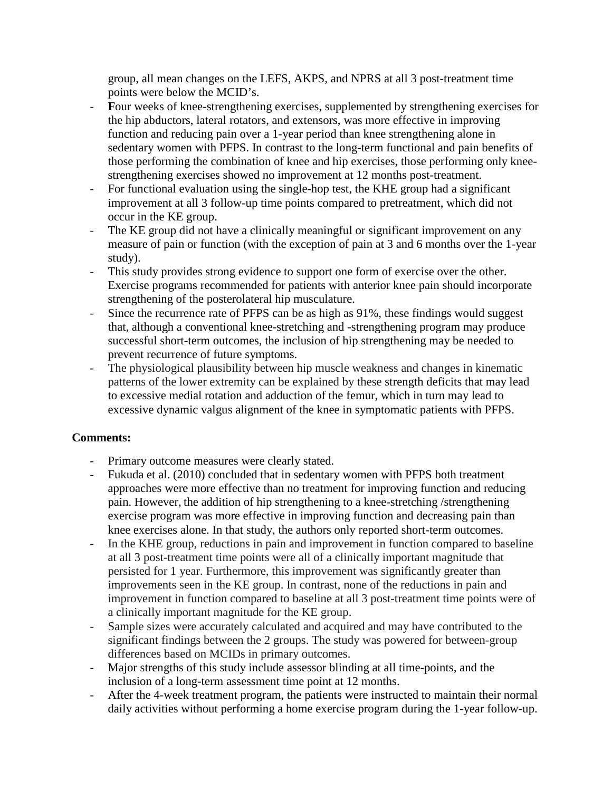group, all mean changes on the LEFS, AKPS, and NPRS at all 3 post-treatment time points were below the MCID's.

- **F**our weeks of knee-strengthening exercises, supplemented by strengthening exercises for the hip abductors, lateral rotators, and extensors, was more effective in improving function and reducing pain over a 1-year period than knee strengthening alone in sedentary women with PFPS. In contrast to the long-term functional and pain benefits of those performing the combination of knee and hip exercises, those performing only kneestrengthening exercises showed no improvement at 12 months post-treatment.
- For functional evaluation using the single-hop test, the KHE group had a significant improvement at all 3 follow-up time points compared to pretreatment, which did not occur in the KE group.
- The KE group did not have a clinically meaningful or significant improvement on any measure of pain or function (with the exception of pain at 3 and 6 months over the 1-year study).
- This study provides strong evidence to support one form of exercise over the other. Exercise programs recommended for patients with anterior knee pain should incorporate strengthening of the posterolateral hip musculature.
- Since the recurrence rate of PFPS can be as high as 91%, these findings would suggest that, although a conventional knee-stretching and -strengthening program may produce successful short-term outcomes, the inclusion of hip strengthening may be needed to prevent recurrence of future symptoms.
- The physiological plausibility between hip muscle weakness and changes in kinematic patterns of the lower extremity can be explained by these strength deficits that may lead to excessive medial rotation and adduction of the femur, which in turn may lead to excessive dynamic valgus alignment of the knee in symptomatic patients with PFPS.

# **Comments:**

- Primary outcome measures were clearly stated.
- Fukuda et al. (2010) concluded that in sedentary women with PFPS both treatment approaches were more effective than no treatment for improving function and reducing pain. However, the addition of hip strengthening to a knee-stretching /strengthening exercise program was more effective in improving function and decreasing pain than knee exercises alone. In that study, the authors only reported short-term outcomes.
- In the KHE group, reductions in pain and improvement in function compared to baseline at all 3 post-treatment time points were all of a clinically important magnitude that persisted for 1 year. Furthermore, this improvement was significantly greater than improvements seen in the KE group. In contrast, none of the reductions in pain and improvement in function compared to baseline at all 3 post-treatment time points were of a clinically important magnitude for the KE group.
- Sample sizes were accurately calculated and acquired and may have contributed to the significant findings between the 2 groups. The study was powered for between-group differences based on MCIDs in primary outcomes.
- Major strengths of this study include assessor blinding at all time-points, and the inclusion of a long-term assessment time point at 12 months.
- After the 4-week treatment program, the patients were instructed to maintain their normal daily activities without performing a home exercise program during the 1-year follow-up.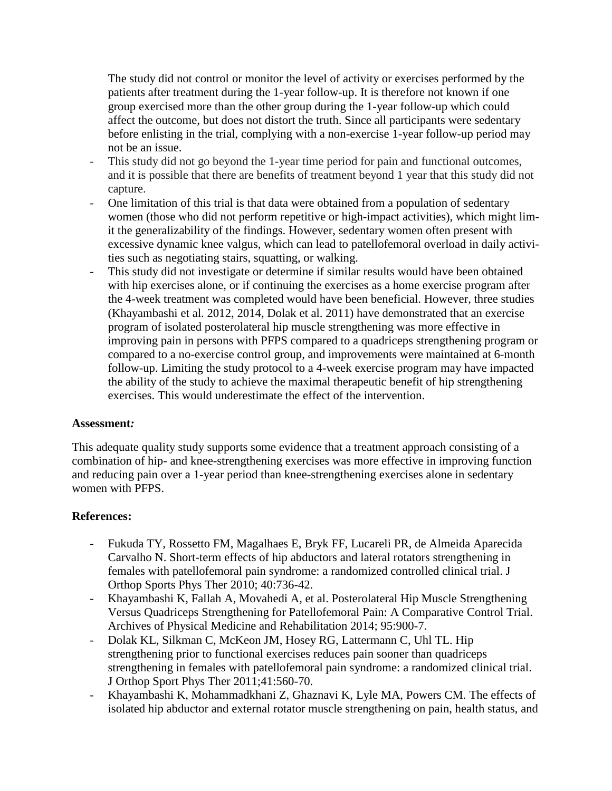The study did not control or monitor the level of activity or exercises performed by the patients after treatment during the 1-year follow-up. It is therefore not known if one group exercised more than the other group during the 1-year follow-up which could affect the outcome, but does not distort the truth. Since all participants were sedentary before enlisting in the trial, complying with a non-exercise 1-year follow-up period may not be an issue.

- This study did not go beyond the 1-year time period for pain and functional outcomes, and it is possible that there are benefits of treatment beyond 1 year that this study did not capture.
- One limitation of this trial is that data were obtained from a population of sedentary women (those who did not perform repetitive or high-impact activities), which might limit the generalizability of the findings. However, sedentary women often present with excessive dynamic knee valgus, which can lead to patellofemoral overload in daily activities such as negotiating stairs, squatting, or walking.
- This study did not investigate or determine if similar results would have been obtained with hip exercises alone, or if continuing the exercises as a home exercise program after the 4-week treatment was completed would have been beneficial. However, three studies (Khayambashi et al. 2012, 2014, Dolak et al. 2011) have demonstrated that an exercise program of isolated posterolateral hip muscle strengthening was more effective in improving pain in persons with PFPS compared to a quadriceps strengthening program or compared to a no-exercise control group, and improvements were maintained at 6-month follow-up. Limiting the study protocol to a 4-week exercise program may have impacted the ability of the study to achieve the maximal therapeutic benefit of hip strengthening exercises. This would underestimate the effect of the intervention.

#### **Assessment***:*

This adequate quality study supports some evidence that a treatment approach consisting of a combination of hip- and knee-strengthening exercises was more effective in improving function and reducing pain over a 1-year period than knee-strengthening exercises alone in sedentary women with PFPS.

## **References:**

- Fukuda TY, Rossetto FM, Magalhaes E, Bryk FF, Lucareli PR, de Almeida Aparecida Carvalho N. Short-term effects of hip abductors and lateral rotators strengthening in females with patellofemoral pain syndrome: a randomized controlled clinical trial. J Orthop Sports Phys Ther 2010; 40:736-42.
- Khayambashi K, Fallah A, Movahedi A, et al. Posterolateral Hip Muscle Strengthening Versus Quadriceps Strengthening for Patellofemoral Pain: A Comparative Control Trial. Archives of Physical Medicine and Rehabilitation 2014; 95:900-7.
- Dolak KL, Silkman C, McKeon JM, Hosey RG, Lattermann C, Uhl TL. Hip strengthening prior to functional exercises reduces pain sooner than quadriceps strengthening in females with patellofemoral pain syndrome: a randomized clinical trial. J Orthop Sport Phys Ther 2011;41:560-70.
- Khayambashi K, Mohammadkhani Z, Ghaznavi K, Lyle MA, Powers CM. The effects of isolated hip abductor and external rotator muscle strengthening on pain, health status, and